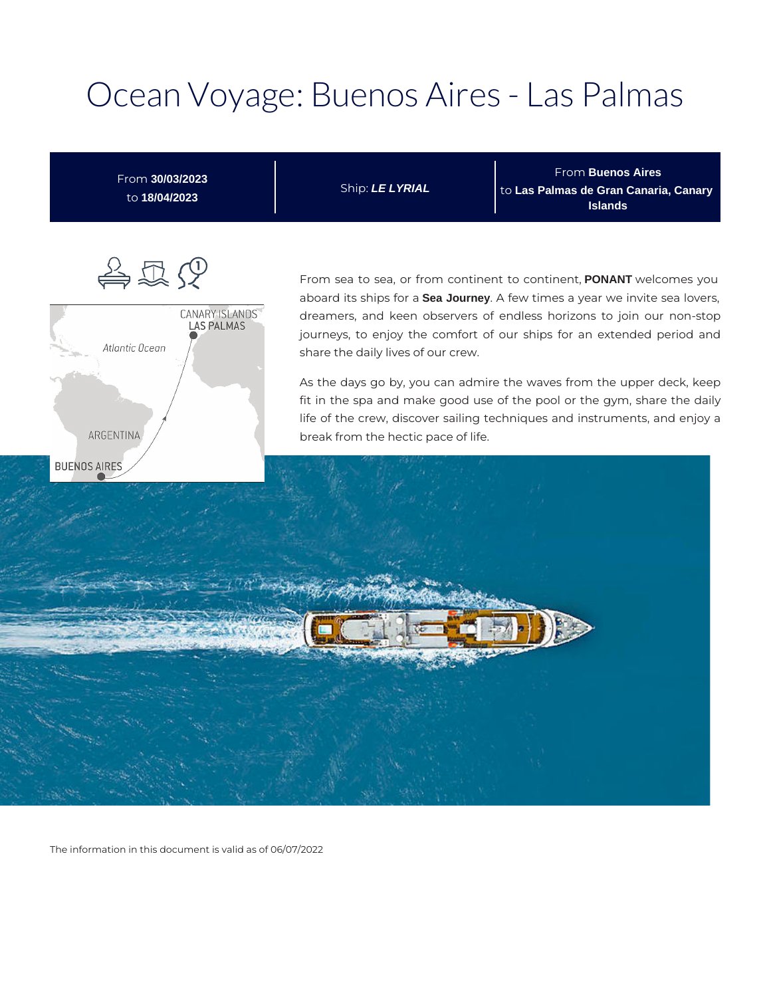# Ocean Voyage: Buenos Aires - Las Palmas

From **Buenos Aires** From **30/03/2023** Ship: **LE LYRIAL** to **Las Palmas de Gran Canaria, Canary**  to **18/04/2023 Islands** 合足人 From sea to sea, or from continent to continent, **PONANT** welcomes you aboard its ships for a **Sea Journey**. A few times a year we invite sea lovers, CANARY ISLANDS<br>LAS PALMAS dreamers, and keen observers of endless horizons to join our non-stop journeys, to enjoy the comfort of our ships for an extended period and Atlantic Ocean share the daily lives of our crew. As the days go by, you can admire the waves from the upper deck, keep fit in the spa and make good use of the pool or the gym, share the daily life of the crew, discover sailing techniques and instruments, and enjoy a ARGENTINA break from the hectic pace of life.**BUENOS AIRES** 

The information in this document is valid as of 06/07/2022